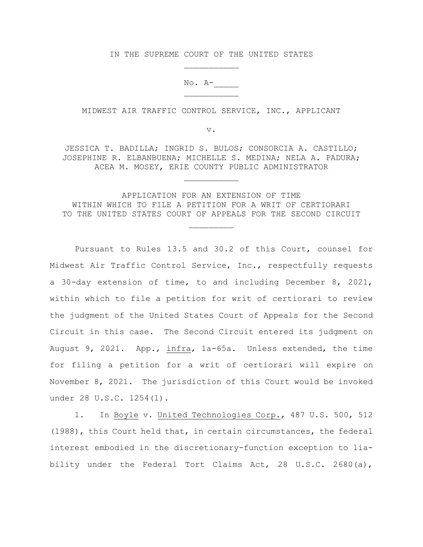IN THE SUPREME COURT OF THE UNITED STATES

 $No. A-$ 

MIDWEST AIR TRAFFIC CONTROL SERVICE, INC., APPLICANT

v.

JESSICA T. BADILLA; INGRID S. BULOS; CONSORCIA A. CASTILLO; JOSEPHINE R. ELBANBUENA; MICHELLE S. MEDINA; NELA A. PADURA; ACEA M. MOSEY, ERIE COUNTY PUBLIC ADMINISTRATOR

APPLICATION FOR AN EXTENSION OF TIME WITHIN WHICH TO FILE A PETITION FOR A WRIT OF CERTIORARI TO THE UNITED STATES COURT OF APPEALS FOR THE SECOND CIRCUIT

Pursuant to Rules 13.5 and 30.2 of this Court, counsel for Midwest Air Traffic Control Service, Inc., respectfully requests a 30-day extension of time, to and including December 8, 2021, within which to file a petition for writ of certiorari to review the judgment of the United States Court of Appeals for the Second Circuit in this case. The Second Circuit entered its judgment on August 9, 2021. App., infra, 1a-65a. Unless extended, the time for filing a petition for a writ of certiorari will expire on November 8, 2021. The jurisdiction of this Court would be invoked under 28 U.S.C. 1254(1).

1. In Boyle v. United Technologies Corp., 487 U.S. 500, 512 (1988), this Court held that, in certain circumstances, the federal interest embodied in the discretionary-function exception to liability under the Federal Tort Claims Act, 28 U.S.C. 2680(a),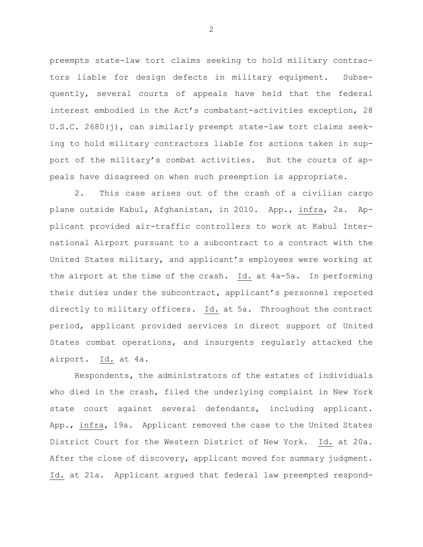preempts state-law tort claims seeking to hold military contractors liable for design defects in military equipment. Subsequently, several courts of appeals have held that the federal interest embodied in the Act's combatant-activities exception, 28 U.S.C. 2680(j), can similarly preempt state-law tort claims seeking to hold military contractors liable for actions taken in support of the military's combat activities. But the courts of appeals have disagreed on when such preemption is appropriate.

2. This case arises out of the crash of a civilian cargo plane outside Kabul, Afghanistan, in 2010. App., infra, 2a. Applicant provided air-traffic controllers to work at Kabul International Airport pursuant to a subcontract to a contract with the United States military, and applicant's employees were working at the airport at the time of the crash. Id. at 4a-5a. In performing their duties under the subcontract, applicant's personnel reported directly to military officers. Id. at 5a. Throughout the contract period, applicant provided services in direct support of United States combat operations, and insurgents regularly attacked the airport. Id. at 4a.

Respondents, the administrators of the estates of individuals who died in the crash, filed the underlying complaint in New York state court against several defendants, including applicant. App., infra, 19a. Applicant removed the case to the United States District Court for the Western District of New York. Id. at 20a. After the close of discovery, applicant moved for summary judgment. Id. at 21a. Applicant argued that federal law preempted respond-

2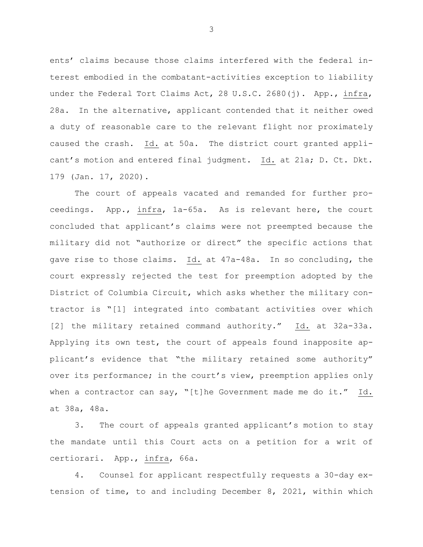ents' claims because those claims interfered with the federal interest embodied in the combatant-activities exception to liability under the Federal Tort Claims Act, 28 U.S.C. 2680(j). App., infra, 28a. In the alternative, applicant contended that it neither owed a duty of reasonable care to the relevant flight nor proximately caused the crash. Id. at 50a. The district court granted applicant's motion and entered final judgment. Id. at 21a; D. Ct. Dkt. 179 (Jan. 17, 2020).

The court of appeals vacated and remanded for further proceedings. App., infra, 1a-65a. As is relevant here, the court concluded that applicant's claims were not preempted because the military did not "authorize or direct" the specific actions that gave rise to those claims. Id. at 47a-48a. In so concluding, the court expressly rejected the test for preemption adopted by the District of Columbia Circuit, which asks whether the military contractor is "[1] integrated into combatant activities over which [2] the military retained command authority." Id. at 32a-33a. Applying its own test, the court of appeals found inapposite applicant's evidence that "the military retained some authority" over its performance; in the court's view, preemption applies only when a contractor can say, "[t]he Government made me do it." Id. at 38a, 48a.

3. The court of appeals granted applicant's motion to stay the mandate until this Court acts on a petition for a writ of certiorari. App., infra, 66a.

4. Counsel for applicant respectfully requests a 30-day extension of time, to and including December 8, 2021, within which

3